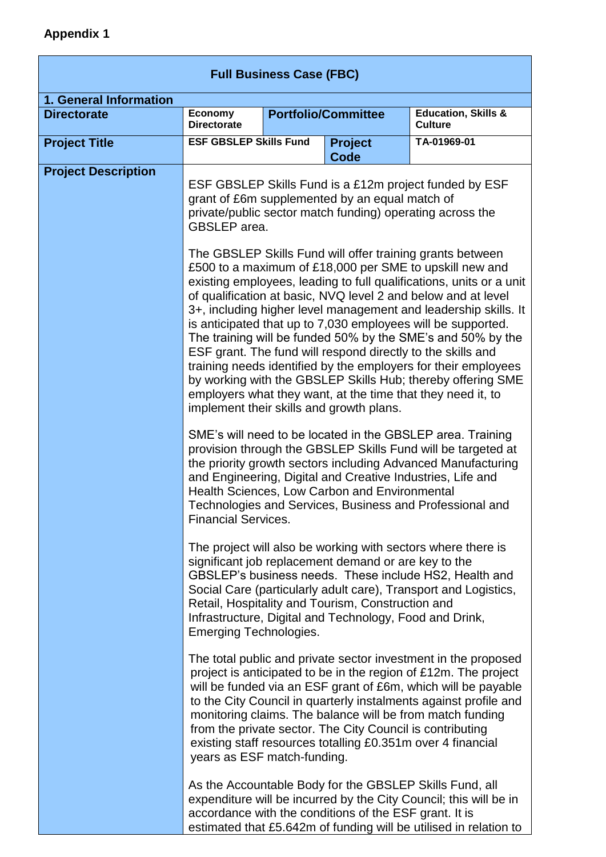| <b>Full Business Case (FBC)</b> |                                                                                                                                                                                                                                                                                                                                                                                                                                                                                                                                                                                                                                                                                                                                                                                                                                                                                                                                                                           |                            |                                                           |                                                                                                                                                                                                                                                                                                                                                                                                    |  |
|---------------------------------|---------------------------------------------------------------------------------------------------------------------------------------------------------------------------------------------------------------------------------------------------------------------------------------------------------------------------------------------------------------------------------------------------------------------------------------------------------------------------------------------------------------------------------------------------------------------------------------------------------------------------------------------------------------------------------------------------------------------------------------------------------------------------------------------------------------------------------------------------------------------------------------------------------------------------------------------------------------------------|----------------------------|-----------------------------------------------------------|----------------------------------------------------------------------------------------------------------------------------------------------------------------------------------------------------------------------------------------------------------------------------------------------------------------------------------------------------------------------------------------------------|--|
| 1. General Information          |                                                                                                                                                                                                                                                                                                                                                                                                                                                                                                                                                                                                                                                                                                                                                                                                                                                                                                                                                                           |                            |                                                           |                                                                                                                                                                                                                                                                                                                                                                                                    |  |
| <b>Directorate</b>              | <b>Economy</b><br><b>Directorate</b>                                                                                                                                                                                                                                                                                                                                                                                                                                                                                                                                                                                                                                                                                                                                                                                                                                                                                                                                      | <b>Portfolio/Committee</b> |                                                           | <b>Education, Skills &amp;</b><br><b>Culture</b>                                                                                                                                                                                                                                                                                                                                                   |  |
| <b>Project Title</b>            | <b>ESF GBSLEP Skills Fund</b>                                                                                                                                                                                                                                                                                                                                                                                                                                                                                                                                                                                                                                                                                                                                                                                                                                                                                                                                             |                            | <b>Project</b><br>Code                                    | TA-01969-01                                                                                                                                                                                                                                                                                                                                                                                        |  |
| <b>Project Description</b>      | ESF GBSLEP Skills Fund is a £12m project funded by ESF<br>grant of £6m supplemented by an equal match of<br>private/public sector match funding) operating across the<br><b>GBSLEP</b> area.<br>The GBSLEP Skills Fund will offer training grants between<br>£500 to a maximum of £18,000 per SME to upskill new and<br>existing employees, leading to full qualifications, units or a unit<br>of qualification at basic, NVQ level 2 and below and at level<br>3+, including higher level management and leadership skills. It<br>is anticipated that up to 7,030 employees will be supported.<br>The training will be funded 50% by the SME's and 50% by the<br>ESF grant. The fund will respond directly to the skills and<br>training needs identified by the employers for their employees<br>by working with the GBSLEP Skills Hub; thereby offering SME<br>employers what they want, at the time that they need it, to<br>implement their skills and growth plans. |                            |                                                           |                                                                                                                                                                                                                                                                                                                                                                                                    |  |
|                                 |                                                                                                                                                                                                                                                                                                                                                                                                                                                                                                                                                                                                                                                                                                                                                                                                                                                                                                                                                                           |                            |                                                           |                                                                                                                                                                                                                                                                                                                                                                                                    |  |
|                                 | SME's will need to be located in the GBSLEP area. Training<br>provision through the GBSLEP Skills Fund will be targeted at<br>the priority growth sectors including Advanced Manufacturing<br>and Engineering, Digital and Creative Industries, Life and<br>Health Sciences, Low Carbon and Environmental<br>Technologies and Services, Business and Professional and<br><b>Financial Services.</b>                                                                                                                                                                                                                                                                                                                                                                                                                                                                                                                                                                       |                            |                                                           |                                                                                                                                                                                                                                                                                                                                                                                                    |  |
|                                 | The project will also be working with sectors where there is<br>significant job replacement demand or are key to the<br>GBSLEP's business needs. These include HS2, Health and<br>Social Care (particularly adult care), Transport and Logistics,<br>Retail, Hospitality and Tourism, Construction and<br>Infrastructure, Digital and Technology, Food and Drink,<br><b>Emerging Technologies.</b>                                                                                                                                                                                                                                                                                                                                                                                                                                                                                                                                                                        |                            |                                                           |                                                                                                                                                                                                                                                                                                                                                                                                    |  |
|                                 | years as ESF match-funding.                                                                                                                                                                                                                                                                                                                                                                                                                                                                                                                                                                                                                                                                                                                                                                                                                                                                                                                                               |                            | from the private sector. The City Council is contributing | The total public and private sector investment in the proposed<br>project is anticipated to be in the region of £12m. The project<br>will be funded via an ESF grant of £6m, which will be payable<br>to the City Council in quarterly instalments against profile and<br>monitoring claims. The balance will be from match funding<br>existing staff resources totalling £0.351m over 4 financial |  |
|                                 |                                                                                                                                                                                                                                                                                                                                                                                                                                                                                                                                                                                                                                                                                                                                                                                                                                                                                                                                                                           |                            | accordance with the conditions of the ESF grant. It is    | As the Accountable Body for the GBSLEP Skills Fund, all<br>expenditure will be incurred by the City Council; this will be in<br>estimated that £5.642m of funding will be utilised in relation to                                                                                                                                                                                                  |  |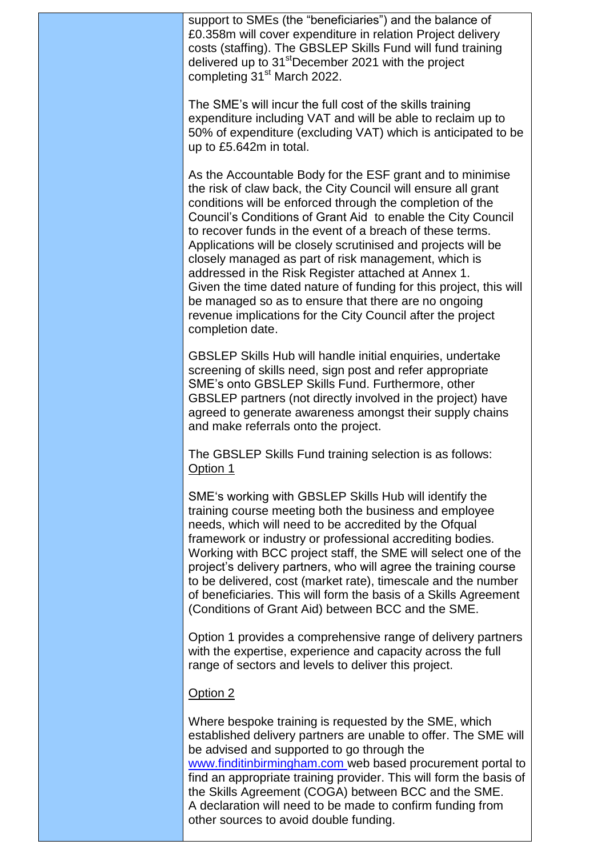support to SMEs (the "beneficiaries") and the balance of £0.358m will cover expenditure in relation Project delivery costs (staffing). The GBSLEP Skills Fund will fund training delivered up to 31<sup>st</sup>December 2021 with the project completing 31<sup>st</sup> March 2022.

The SME's will incur the full cost of the skills training expenditure including VAT and will be able to reclaim up to 50% of expenditure (excluding VAT) which is anticipated to be up to £5.642m in total.

As the Accountable Body for the ESF grant and to minimise the risk of claw back, the City Council will ensure all grant conditions will be enforced through the completion of the Council's Conditions of Grant Aid to enable the City Council to recover funds in the event of a breach of these terms. Applications will be closely scrutinised and projects will be closely managed as part of risk management, which is addressed in the Risk Register attached at Annex 1. Given the time dated nature of funding for this project, this will be managed so as to ensure that there are no ongoing revenue implications for the City Council after the project completion date.

GBSLEP Skills Hub will handle initial enquiries, undertake screening of skills need, sign post and refer appropriate SME's onto GBSLEP Skills Fund. Furthermore, other GBSLEP partners (not directly involved in the project) have agreed to generate awareness amongst their supply chains and make referrals onto the project.

The GBSLEP Skills Fund training selection is as follows: Option 1

SME's working with GBSLEP Skills Hub will identify the training course meeting both the business and employee needs, which will need to be accredited by the Ofqual framework or industry or professional accrediting bodies. Working with BCC project staff, the SME will select one of the project's delivery partners, who will agree the training course to be delivered, cost (market rate), timescale and the number of beneficiaries. This will form the basis of a Skills Agreement (Conditions of Grant Aid) between BCC and the SME.

Option 1 provides a comprehensive range of delivery partners with the expertise, experience and capacity across the full range of sectors and levels to deliver this project.

## Option 2

Where bespoke training is requested by the SME, which established delivery partners are unable to offer. The SME will be advised and supported to go through the [www.finditinbirmingham.com](http://www.finditinbirmingham.com/) web based procurement portal to find an appropriate training provider. This will form the basis of the Skills Agreement (COGA) between BCC and the SME. A declaration will need to be made to confirm funding from other sources to avoid double funding.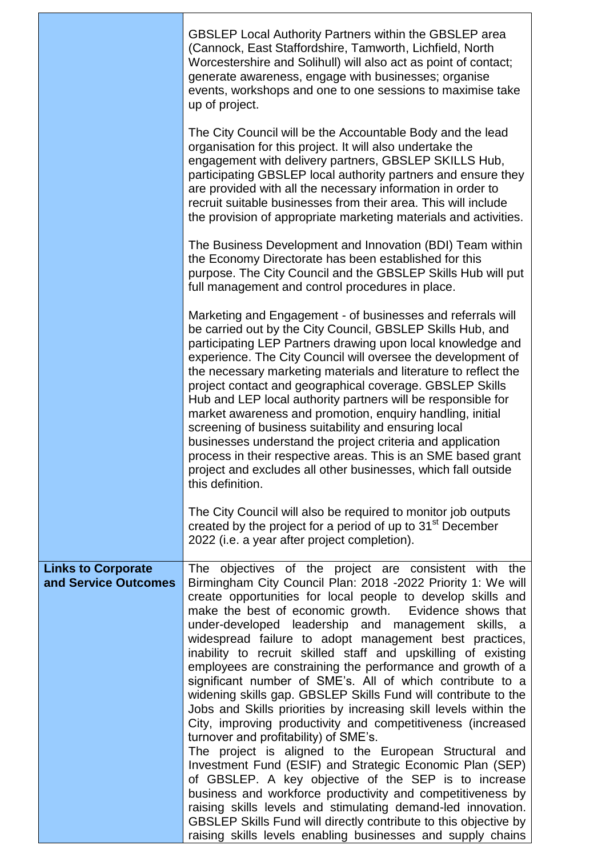|                                                   | <b>GBSLEP Local Authority Partners within the GBSLEP area</b><br>(Cannock, East Staffordshire, Tamworth, Lichfield, North<br>Worcestershire and Solihull) will also act as point of contact;<br>generate awareness, engage with businesses; organise<br>events, workshops and one to one sessions to maximise take<br>up of project.                                                                                                                                                                                                                                                                                                                                                                                                                                                                                                                                                                                                                                                                                                                                                                                                                                                                                                                   |  |  |  |
|---------------------------------------------------|--------------------------------------------------------------------------------------------------------------------------------------------------------------------------------------------------------------------------------------------------------------------------------------------------------------------------------------------------------------------------------------------------------------------------------------------------------------------------------------------------------------------------------------------------------------------------------------------------------------------------------------------------------------------------------------------------------------------------------------------------------------------------------------------------------------------------------------------------------------------------------------------------------------------------------------------------------------------------------------------------------------------------------------------------------------------------------------------------------------------------------------------------------------------------------------------------------------------------------------------------------|--|--|--|
|                                                   | The City Council will be the Accountable Body and the lead<br>organisation for this project. It will also undertake the<br>engagement with delivery partners, GBSLEP SKILLS Hub,<br>participating GBSLEP local authority partners and ensure they<br>are provided with all the necessary information in order to<br>recruit suitable businesses from their area. This will include<br>the provision of appropriate marketing materials and activities.                                                                                                                                                                                                                                                                                                                                                                                                                                                                                                                                                                                                                                                                                                                                                                                                 |  |  |  |
|                                                   | The Business Development and Innovation (BDI) Team within<br>the Economy Directorate has been established for this<br>purpose. The City Council and the GBSLEP Skills Hub will put<br>full management and control procedures in place.                                                                                                                                                                                                                                                                                                                                                                                                                                                                                                                                                                                                                                                                                                                                                                                                                                                                                                                                                                                                                 |  |  |  |
|                                                   | Marketing and Engagement - of businesses and referrals will<br>be carried out by the City Council, GBSLEP Skills Hub, and<br>participating LEP Partners drawing upon local knowledge and<br>experience. The City Council will oversee the development of<br>the necessary marketing materials and literature to reflect the<br>project contact and geographical coverage. GBSLEP Skills<br>Hub and LEP local authority partners will be responsible for<br>market awareness and promotion, enquiry handling, initial<br>screening of business suitability and ensuring local<br>businesses understand the project criteria and application<br>process in their respective areas. This is an SME based grant<br>project and excludes all other businesses, which fall outside<br>this definition.                                                                                                                                                                                                                                                                                                                                                                                                                                                       |  |  |  |
|                                                   | The City Council will also be required to monitor job outputs<br>created by the project for a period of up to 31 <sup>st</sup> December<br>2022 (i.e. a year after project completion).                                                                                                                                                                                                                                                                                                                                                                                                                                                                                                                                                                                                                                                                                                                                                                                                                                                                                                                                                                                                                                                                |  |  |  |
| <b>Links to Corporate</b><br>and Service Outcomes | The objectives of the project are consistent with the<br>Birmingham City Council Plan: 2018 -2022 Priority 1: We will<br>create opportunities for local people to develop skills and<br>make the best of economic growth. Evidence shows that<br>under-developed leadership and management skills, a<br>widespread failure to adopt management best practices,<br>inability to recruit skilled staff and upskilling of existing<br>employees are constraining the performance and growth of a<br>significant number of SME's. All of which contribute to a<br>widening skills gap. GBSLEP Skills Fund will contribute to the<br>Jobs and Skills priorities by increasing skill levels within the<br>City, improving productivity and competitiveness (increased<br>turnover and profitability) of SME's.<br>The project is aligned to the European Structural and<br>Investment Fund (ESIF) and Strategic Economic Plan (SEP)<br>of GBSLEP. A key objective of the SEP is to increase<br>business and workforce productivity and competitiveness by<br>raising skills levels and stimulating demand-led innovation.<br>GBSLEP Skills Fund will directly contribute to this objective by<br>raising skills levels enabling businesses and supply chains |  |  |  |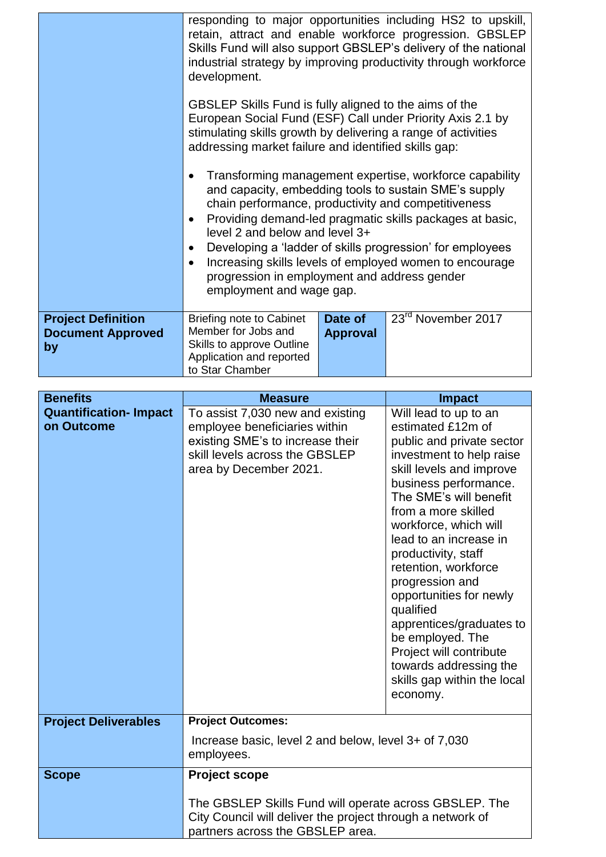|                                                             | development.<br>GBSLEP Skills Fund is fully aligned to the aims of the<br>European Social Fund (ESF) Call under Priority Axis 2.1 by<br>stimulating skills growth by delivering a range of activities<br>addressing market failure and identified skills gap:<br>chain performance, productivity and competitiveness<br>$\bullet$<br>level 2 and below and level 3+<br>$\bullet$<br>$\bullet$<br>progression in employment and address gender<br>employment and wage gap. |                            | responding to major opportunities including HS2 to upskill,<br>retain, attract and enable workforce progression. GBSLEP<br>Skills Fund will also support GBSLEP's delivery of the national<br>industrial strategy by improving productivity through workforce<br>Transforming management expertise, workforce capability<br>and capacity, embedding tools to sustain SME's supply<br>Providing demand-led pragmatic skills packages at basic,<br>Developing a 'ladder of skills progression' for employees<br>Increasing skills levels of employed women to encourage |
|-------------------------------------------------------------|---------------------------------------------------------------------------------------------------------------------------------------------------------------------------------------------------------------------------------------------------------------------------------------------------------------------------------------------------------------------------------------------------------------------------------------------------------------------------|----------------------------|-----------------------------------------------------------------------------------------------------------------------------------------------------------------------------------------------------------------------------------------------------------------------------------------------------------------------------------------------------------------------------------------------------------------------------------------------------------------------------------------------------------------------------------------------------------------------|
| <b>Project Definition</b><br><b>Document Approved</b><br>by | <b>Briefing note to Cabinet</b><br>Member for Jobs and<br>Skills to approve Outline<br>Application and reported<br>to Star Chamber                                                                                                                                                                                                                                                                                                                                        | Date of<br><b>Approval</b> | 23 <sup>rd</sup> November 2017                                                                                                                                                                                                                                                                                                                                                                                                                                                                                                                                        |

| <b>Benefits</b>                            | <b>Measure</b><br><b>Impact</b>                                                                                                                                   |                                                                                                                                                                                                                                                                                                                                                                                                                                                                                                                        |  |  |  |
|--------------------------------------------|-------------------------------------------------------------------------------------------------------------------------------------------------------------------|------------------------------------------------------------------------------------------------------------------------------------------------------------------------------------------------------------------------------------------------------------------------------------------------------------------------------------------------------------------------------------------------------------------------------------------------------------------------------------------------------------------------|--|--|--|
| <b>Quantification-Impact</b><br>on Outcome | To assist 7,030 new and existing<br>employee beneficiaries within<br>existing SME's to increase their<br>skill levels across the GBSLEP<br>area by December 2021. | Will lead to up to an<br>estimated £12m of<br>public and private sector<br>investment to help raise<br>skill levels and improve<br>business performance.<br>The SME's will benefit<br>from a more skilled<br>workforce, which will<br>lead to an increase in<br>productivity, staff<br>retention, workforce<br>progression and<br>opportunities for newly<br>qualified<br>apprentices/graduates to<br>be employed. The<br>Project will contribute<br>towards addressing the<br>skills gap within the local<br>economy. |  |  |  |
| <b>Project Deliverables</b>                | <b>Project Outcomes:</b>                                                                                                                                          |                                                                                                                                                                                                                                                                                                                                                                                                                                                                                                                        |  |  |  |
|                                            | Increase basic, level 2 and below, level 3+ of 7,030<br>employees.                                                                                                |                                                                                                                                                                                                                                                                                                                                                                                                                                                                                                                        |  |  |  |
| <b>Scope</b>                               | <b>Project scope</b>                                                                                                                                              |                                                                                                                                                                                                                                                                                                                                                                                                                                                                                                                        |  |  |  |
|                                            | The GBSLEP Skills Fund will operate across GBSLEP. The<br>City Council will deliver the project through a network of<br>partners across the GBSLEP area.          |                                                                                                                                                                                                                                                                                                                                                                                                                                                                                                                        |  |  |  |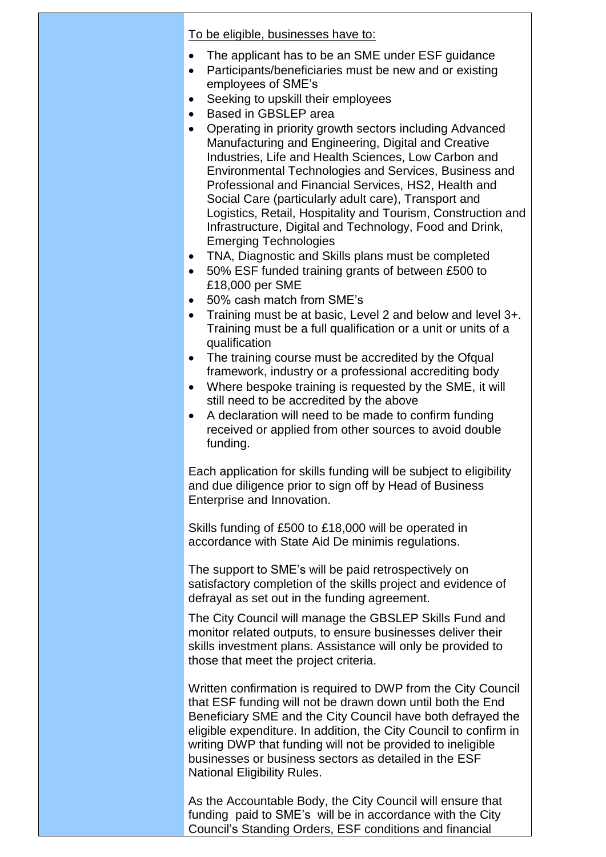To be eligible, businesses have to:

- The applicant has to be an SME under ESF guidance
- Participants/beneficiaries must be new and or existing employees of SME's
- Seeking to upskill their employees
- Based in GBSLEP area
- Operating in priority growth sectors including Advanced Manufacturing and Engineering, Digital and Creative Industries, Life and Health Sciences, Low Carbon and Environmental Technologies and Services, Business and Professional and Financial Services, HS2, Health and Social Care (particularly adult care), Transport and Logistics, Retail, Hospitality and Tourism, Construction and Infrastructure, Digital and Technology, Food and Drink, Emerging Technologies
- TNA, Diagnostic and Skills plans must be completed
- 50% ESF funded training grants of between £500 to £18,000 per SME
- 50% cash match from SME's
- Training must be at basic, Level 2 and below and level 3+. Training must be a full qualification or a unit or units of a qualification
- The training course must be accredited by the Ofqual framework, industry or a professional accrediting body
- Where bespoke training is requested by the SME, it will still need to be accredited by the above
- A declaration will need to be made to confirm funding received or applied from other sources to avoid double funding.

Each application for skills funding will be subject to eligibility and due diligence prior to sign off by Head of Business Enterprise and Innovation.

Skills funding of £500 to £18,000 will be operated in accordance with State Aid De minimis regulations.

The support to SME's will be paid retrospectively on satisfactory completion of the skills project and evidence of defrayal as set out in the funding agreement.

The City Council will manage the GBSLEP Skills Fund and monitor related outputs, to ensure businesses deliver their skills investment plans. Assistance will only be provided to those that meet the project criteria.

Written confirmation is required to DWP from the City Council that ESF funding will not be drawn down until both the End Beneficiary SME and the City Council have both defrayed the eligible expenditure. In addition, the City Council to confirm in writing DWP that funding will not be provided to ineligible businesses or business sectors as detailed in the ESF National Eligibility Rules.

As the Accountable Body, the City Council will ensure that funding paid to SME's will be in accordance with the City Council's Standing Orders, ESF conditions and financial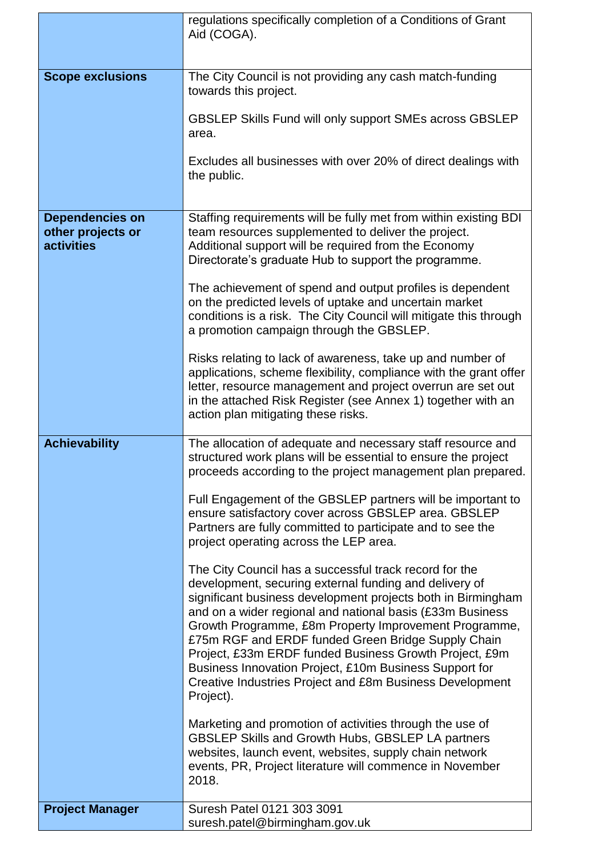|                                                                  | regulations specifically completion of a Conditions of Grant<br>Aid (COGA).                                                                                                                                                                                                                                                                                                                                                                                                                                                                               |  |  |  |  |
|------------------------------------------------------------------|-----------------------------------------------------------------------------------------------------------------------------------------------------------------------------------------------------------------------------------------------------------------------------------------------------------------------------------------------------------------------------------------------------------------------------------------------------------------------------------------------------------------------------------------------------------|--|--|--|--|
|                                                                  |                                                                                                                                                                                                                                                                                                                                                                                                                                                                                                                                                           |  |  |  |  |
| <b>Scope exclusions</b>                                          | The City Council is not providing any cash match-funding<br>towards this project.                                                                                                                                                                                                                                                                                                                                                                                                                                                                         |  |  |  |  |
|                                                                  | <b>GBSLEP Skills Fund will only support SMEs across GBSLEP</b><br>area.                                                                                                                                                                                                                                                                                                                                                                                                                                                                                   |  |  |  |  |
|                                                                  | Excludes all businesses with over 20% of direct dealings with<br>the public.                                                                                                                                                                                                                                                                                                                                                                                                                                                                              |  |  |  |  |
|                                                                  |                                                                                                                                                                                                                                                                                                                                                                                                                                                                                                                                                           |  |  |  |  |
| <b>Dependencies on</b><br>other projects or<br><b>activities</b> | Staffing requirements will be fully met from within existing BDI<br>team resources supplemented to deliver the project.<br>Additional support will be required from the Economy<br>Directorate's graduate Hub to support the programme.                                                                                                                                                                                                                                                                                                                   |  |  |  |  |
|                                                                  | The achievement of spend and output profiles is dependent<br>on the predicted levels of uptake and uncertain market<br>conditions is a risk. The City Council will mitigate this through<br>a promotion campaign through the GBSLEP.                                                                                                                                                                                                                                                                                                                      |  |  |  |  |
|                                                                  | Risks relating to lack of awareness, take up and number of<br>applications, scheme flexibility, compliance with the grant offer<br>letter, resource management and project overrun are set out<br>in the attached Risk Register (see Annex 1) together with an<br>action plan mitigating these risks.                                                                                                                                                                                                                                                     |  |  |  |  |
| <b>Achievability</b>                                             | The allocation of adequate and necessary staff resource and<br>structured work plans will be essential to ensure the project<br>proceeds according to the project management plan prepared.                                                                                                                                                                                                                                                                                                                                                               |  |  |  |  |
|                                                                  | Full Engagement of the GBSLEP partners will be important to<br>ensure satisfactory cover across GBSLEP area. GBSLEP<br>Partners are fully committed to participate and to see the<br>project operating across the LEP area.                                                                                                                                                                                                                                                                                                                               |  |  |  |  |
|                                                                  | The City Council has a successful track record for the<br>development, securing external funding and delivery of<br>significant business development projects both in Birmingham<br>and on a wider regional and national basis (£33m Business<br>Growth Programme, £8m Property Improvement Programme,<br>£75m RGF and ERDF funded Green Bridge Supply Chain<br>Project, £33m ERDF funded Business Growth Project, £9m<br>Business Innovation Project, £10m Business Support for<br>Creative Industries Project and £8m Business Development<br>Project). |  |  |  |  |
|                                                                  | Marketing and promotion of activities through the use of<br><b>GBSLEP Skills and Growth Hubs, GBSLEP LA partners</b><br>websites, launch event, websites, supply chain network<br>events, PR, Project literature will commence in November<br>2018.                                                                                                                                                                                                                                                                                                       |  |  |  |  |
| <b>Project Manager</b>                                           | Suresh Patel 0121 303 3091                                                                                                                                                                                                                                                                                                                                                                                                                                                                                                                                |  |  |  |  |
|                                                                  | suresh.patel@birmingham.gov.uk                                                                                                                                                                                                                                                                                                                                                                                                                                                                                                                            |  |  |  |  |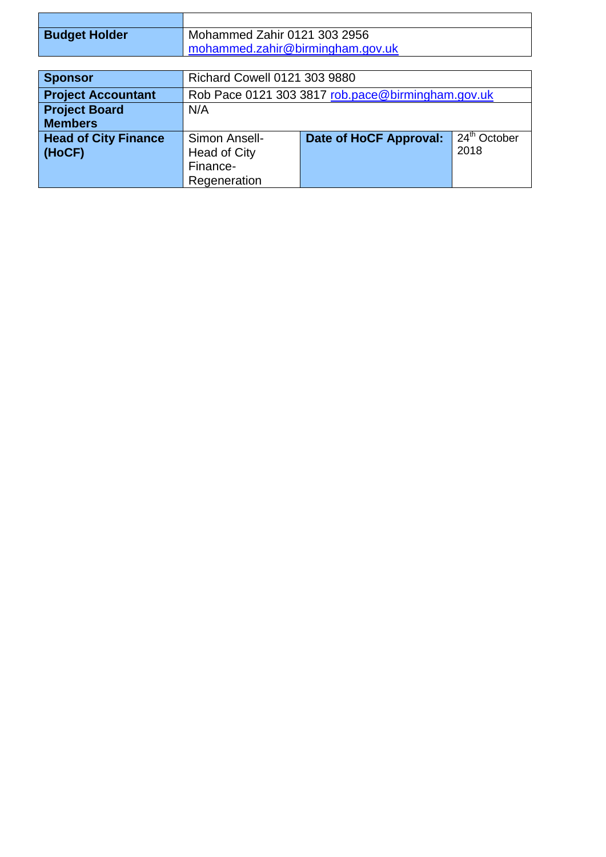| <b>Budget Holder</b>        | Mohammed Zahir 0121 303 2956                      |                                                           |  |  |
|-----------------------------|---------------------------------------------------|-----------------------------------------------------------|--|--|
|                             | mohammed.zahir@birmingham.gov.uk                  |                                                           |  |  |
|                             |                                                   |                                                           |  |  |
| <b>Sponsor</b>              | <b>Richard Cowell 0121 303 9880</b>               |                                                           |  |  |
| <b>Project Accountant</b>   | Rob Pace 0121 303 3817 rob.pace@birmingham.gov.uk |                                                           |  |  |
| <b>Project Board</b>        | N/A                                               |                                                           |  |  |
| <b>Members</b>              |                                                   |                                                           |  |  |
| <b>Head of City Finance</b> | Simon Ansell-                                     | 24 <sup>th</sup> October<br><b>Date of HoCF Approval:</b> |  |  |

2018

Head of City Finance-Regeneration

**(HoCF)**